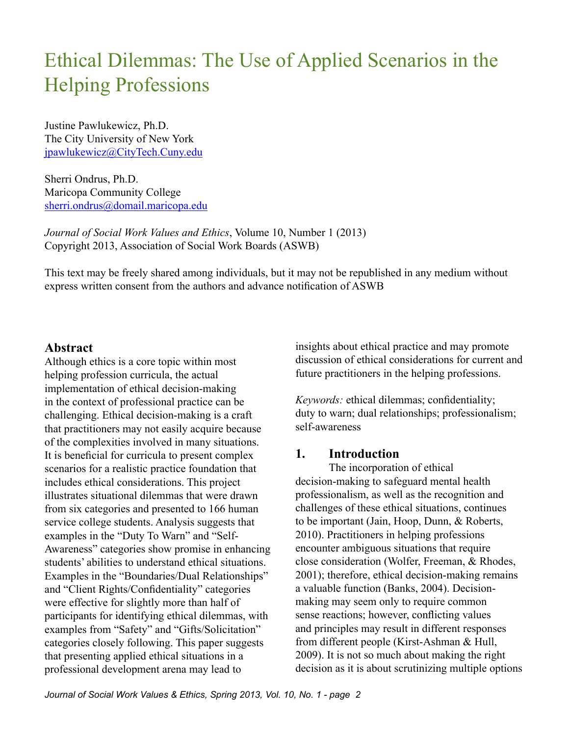Justine Pawlukewicz, Ph.D. The City University of New York [jpawlukewicz@CityTech.Cuny.edu](mailto:jpawlukewicz@CityTech.Cuny.edu)

Sherri Ondrus, Ph.D. Maricopa Community College [sherri.ondrus@domail.maricopa.edu](mailto:sherri.ondrus@domail.maricopa.edu)

*Journal of Social Work Values and Ethics*, Volume 10, Number 1 (2013) Copyright 2013, Association of Social Work Boards (ASWB)

This text may be freely shared among individuals, but it may not be republished in any medium without express written consent from the authors and advance notification of ASWB

## **Abstract**

Although ethics is a core topic within most helping profession curricula, the actual implementation of ethical decision-making in the context of professional practice can be challenging. Ethical decision-making is a craft that practitioners may not easily acquire because of the complexities involved in many situations. It is beneficial for curricula to present complex scenarios for a realistic practice foundation that includes ethical considerations. This project illustrates situational dilemmas that were drawn from six categories and presented to 166 human service college students. Analysis suggests that examples in the "Duty To Warn" and "Self-Awareness" categories show promise in enhancing students' abilities to understand ethical situations. Examples in the "Boundaries/Dual Relationships" and "Client Rights/Confidentiality" categories were effective for slightly more than half of participants for identifying ethical dilemmas, with examples from "Safety" and "Gifts/Solicitation" categories closely following. This paper suggests that presenting applied ethical situations in a professional development arena may lead to

insights about ethical practice and may promote discussion of ethical considerations for current and future practitioners in the helping professions.

*Keywords:* ethical dilemmas; confidentiality; duty to warn; dual relationships; professionalism; self-awareness

## **1. Introduction**

The incorporation of ethical decision-making to safeguard mental health professionalism, as well as the recognition and challenges of these ethical situations, continues to be important (Jain, Hoop, Dunn, & Roberts, 2010). Practitioners in helping professions encounter ambiguous situations that require close consideration (Wolfer, Freeman, & Rhodes, 2001); therefore, ethical decision-making remains a valuable function (Banks, 2004). Decisionmaking may seem only to require common sense reactions; however, conflicting values and principles may result in different responses from different people (Kirst-Ashman & Hull, 2009). It is not so much about making the right decision as it is about scrutinizing multiple options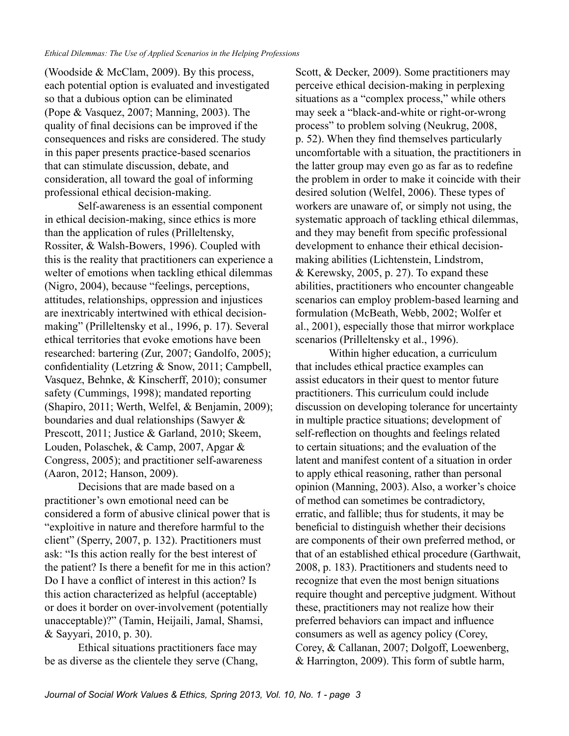(Woodside & McClam, 2009). By this process, each potential option is evaluated and investigated so that a dubious option can be eliminated (Pope & Vasquez, 2007; Manning, 2003). The quality of final decisions can be improved if the consequences and risks are considered. The study in this paper presents practice-based scenarios that can stimulate discussion, debate, and consideration, all toward the goal of informing professional ethical decision-making.

Self-awareness is an essential component in ethical decision-making, since ethics is more than the application of rules (Prilleltensky, Rossiter, & Walsh-Bowers, 1996). Coupled with this is the reality that practitioners can experience a welter of emotions when tackling ethical dilemmas (Nigro, 2004), because "feelings, perceptions, attitudes, relationships, oppression and injustices are inextricably intertwined with ethical decisionmaking" (Prilleltensky et al., 1996, p. 17). Several ethical territories that evoke emotions have been researched: bartering (Zur, 2007; Gandolfo, 2005); confidentiality (Letzring & Snow, 2011; Campbell, Vasquez, Behnke, & Kinscherff, 2010); consumer safety (Cummings, 1998); mandated reporting (Shapiro, 2011; Werth, Welfel, & Benjamin, 2009); boundaries and dual relationships (Sawyer & Prescott, 2011; Justice & Garland, 2010; Skeem, Louden, Polaschek, & Camp, 2007, Apgar & Congress, 2005); and practitioner self-awareness (Aaron, 2012; Hanson, 2009).

Decisions that are made based on a practitioner's own emotional need can be considered a form of abusive clinical power that is "exploitive in nature and therefore harmful to the client" (Sperry, 2007, p. 132). Practitioners must ask: "Is this action really for the best interest of the patient? Is there a benefit for me in this action? Do I have a conflict of interest in this action? Is this action characterized as helpful (acceptable) or does it border on over-involvement (potentially unacceptable)?" (Tamin, Heijaili, Jamal, Shamsi, & Sayyari, 2010, p. 30).

Ethical situations practitioners face may be as diverse as the clientele they serve (Chang, Scott, & Decker, 2009). Some practitioners may perceive ethical decision-making in perplexing situations as a "complex process," while others may seek a "black-and-white or right-or-wrong process" to problem solving (Neukrug, 2008, p. 52). When they find themselves particularly uncomfortable with a situation, the practitioners in the latter group may even go as far as to redefine the problem in order to make it coincide with their desired solution (Welfel, 2006). These types of workers are unaware of, or simply not using, the systematic approach of tackling ethical dilemmas, and they may benefit from specific professional development to enhance their ethical decisionmaking abilities (Lichtenstein, Lindstrom, & Kerewsky, 2005, p. 27). To expand these abilities, practitioners who encounter changeable scenarios can employ problem-based learning and formulation (McBeath, Webb, 2002; Wolfer et al., 2001), especially those that mirror workplace scenarios (Prilleltensky et al., 1996).

Within higher education, a curriculum that includes ethical practice examples can assist educators in their quest to mentor future practitioners. This curriculum could include discussion on developing tolerance for uncertainty in multiple practice situations; development of self-reflection on thoughts and feelings related to certain situations; and the evaluation of the latent and manifest content of a situation in order to apply ethical reasoning, rather than personal opinion (Manning, 2003). Also, a worker's choice of method can sometimes be contradictory, erratic, and fallible; thus for students, it may be beneficial to distinguish whether their decisions are components of their own preferred method, or that of an established ethical procedure (Garthwait, 2008, p. 183). Practitioners and students need to recognize that even the most benign situations require thought and perceptive judgment. Without these, practitioners may not realize how their preferred behaviors can impact and influence consumers as well as agency policy (Corey, Corey, & Callanan, 2007; Dolgoff, Loewenberg, & Harrington, 2009). This form of subtle harm,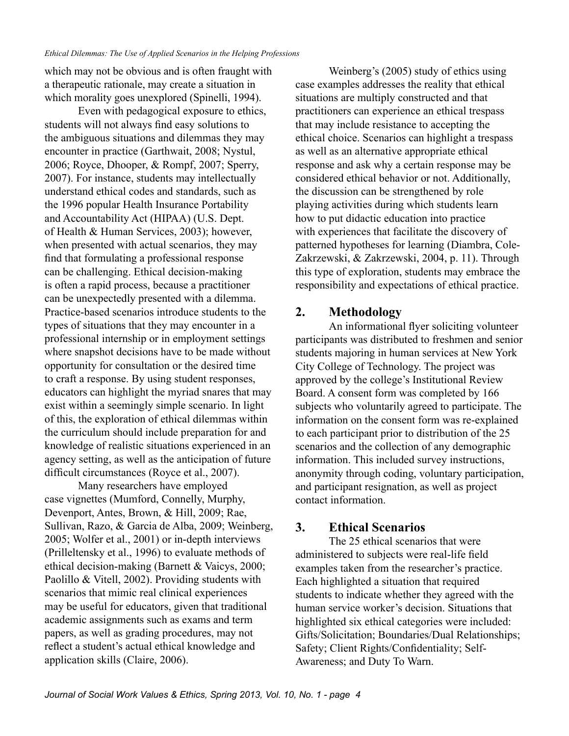which may not be obvious and is often fraught with a therapeutic rationale, may create a situation in which morality goes unexplored (Spinelli, 1994).

Even with pedagogical exposure to ethics, students will not always find easy solutions to the ambiguous situations and dilemmas they may encounter in practice (Garthwait, 2008; Nystul, 2006; Royce, Dhooper, & Rompf, 2007; Sperry, 2007). For instance, students may intellectually understand ethical codes and standards, such as the 1996 popular Health Insurance Portability and Accountability Act (HIPAA) (U.S. Dept. of Health & Human Services, 2003); however, when presented with actual scenarios, they may find that formulating a professional response can be challenging. Ethical decision-making is often a rapid process, because a practitioner can be unexpectedly presented with a dilemma. Practice-based scenarios introduce students to the types of situations that they may encounter in a professional internship or in employment settings where snapshot decisions have to be made without opportunity for consultation or the desired time to craft a response. By using student responses, educators can highlight the myriad snares that may exist within a seemingly simple scenario. In light of this, the exploration of ethical dilemmas within the curriculum should include preparation for and knowledge of realistic situations experienced in an agency setting, as well as the anticipation of future difficult circumstances (Royce et al., 2007).

Many researchers have employed case vignettes (Mumford, Connelly, Murphy, Devenport, Antes, Brown, & Hill, 2009; Rae, Sullivan, Razo, & Garcia de Alba, 2009; Weinberg, 2005; Wolfer et al., 2001) or in-depth interviews (Prilleltensky et al., 1996) to evaluate methods of ethical decision-making (Barnett & Vaicys, 2000; Paolillo & Vitell, 2002). Providing students with scenarios that mimic real clinical experiences may be useful for educators, given that traditional academic assignments such as exams and term papers, as well as grading procedures, may not reflect a student's actual ethical knowledge and application skills (Claire, 2006).

Weinberg's (2005) study of ethics using case examples addresses the reality that ethical situations are multiply constructed and that practitioners can experience an ethical trespass that may include resistance to accepting the ethical choice. Scenarios can highlight a trespass as well as an alternative appropriate ethical response and ask why a certain response may be considered ethical behavior or not. Additionally, the discussion can be strengthened by role playing activities during which students learn how to put didactic education into practice with experiences that facilitate the discovery of patterned hypotheses for learning (Diambra, Cole-Zakrzewski, & Zakrzewski, 2004, p. 11). Through this type of exploration, students may embrace the responsibility and expectations of ethical practice.

## **2. Methodology**

An informational flyer soliciting volunteer participants was distributed to freshmen and senior students majoring in human services at New York City College of Technology. The project was approved by the college's Institutional Review Board. A consent form was completed by 166 subjects who voluntarily agreed to participate. The information on the consent form was re-explained to each participant prior to distribution of the 25 scenarios and the collection of any demographic information. This included survey instructions, anonymity through coding, voluntary participation, and participant resignation, as well as project contact information.

## **3. Ethical Scenarios**

The 25 ethical scenarios that were administered to subjects were real-life field examples taken from the researcher's practice. Each highlighted a situation that required students to indicate whether they agreed with the human service worker's decision. Situations that highlighted six ethical categories were included: Gifts/Solicitation; Boundaries/Dual Relationships; Safety; Client Rights/Confidentiality; Self-Awareness; and Duty To Warn.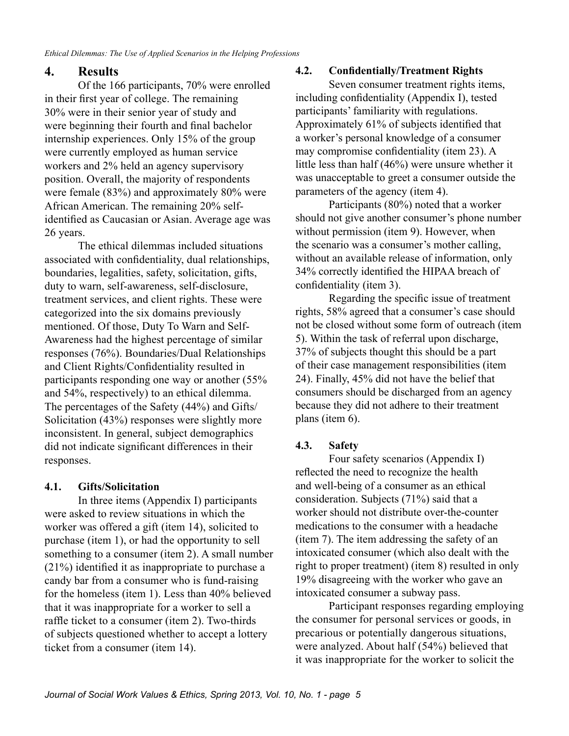## **4. Results**

Of the 166 participants, 70% were enrolled in their first year of college. The remaining 30% were in their senior year of study and were beginning their fourth and final bachelor internship experiences. Only 15% of the group were currently employed as human service workers and 2% held an agency supervisory position. Overall, the majority of respondents were female (83%) and approximately 80% were African American. The remaining 20% selfidentified as Caucasian or Asian. Average age was 26 years.

The ethical dilemmas included situations associated with confidentiality, dual relationships, boundaries, legalities, safety, solicitation, gifts, duty to warn, self-awareness, self-disclosure, treatment services, and client rights. These were categorized into the six domains previously mentioned. Of those, Duty To Warn and Self-Awareness had the highest percentage of similar responses (76%). Boundaries/Dual Relationships and Client Rights/Confidentiality resulted in participants responding one way or another (55% and 54%, respectively) to an ethical dilemma. The percentages of the Safety (44%) and Gifts/ Solicitation (43%) responses were slightly more inconsistent. In general, subject demographics did not indicate significant differences in their responses.

#### **4.1. Gifts/Solicitation**

In three items (Appendix I) participants were asked to review situations in which the worker was offered a gift (item 14), solicited to purchase (item 1), or had the opportunity to sell something to a consumer (item 2). A small number (21%) identified it as inappropriate to purchase a candy bar from a consumer who is fund-raising for the homeless (item 1). Less than 40% believed that it was inappropriate for a worker to sell a raffle ticket to a consumer (item 2). Two-thirds of subjects questioned whether to accept a lottery ticket from a consumer (item 14).

#### **4.2. Confidentially/Treatment Rights**

Seven consumer treatment rights items, including confidentiality (Appendix I), tested participants' familiarity with regulations. Approximately 61% of subjects identified that a worker's personal knowledge of a consumer may compromise confidentiality (item 23). A little less than half (46%) were unsure whether it was unacceptable to greet a consumer outside the parameters of the agency (item 4).

Participants (80%) noted that a worker should not give another consumer's phone number without permission (item 9). However, when the scenario was a consumer's mother calling, without an available release of information, only 34% correctly identified the HIPAA breach of confidentiality (item 3).

Regarding the specific issue of treatment rights, 58% agreed that a consumer's case should not be closed without some form of outreach (item 5). Within the task of referral upon discharge, 37% of subjects thought this should be a part of their case management responsibilities (item 24). Finally, 45% did not have the belief that consumers should be discharged from an agency because they did not adhere to their treatment plans (item 6).

## **4.3. Safety**

Four safety scenarios (Appendix I) reflected the need to recognize the health and well-being of a consumer as an ethical consideration. Subjects (71%) said that a worker should not distribute over-the-counter medications to the consumer with a headache (item 7). The item addressing the safety of an intoxicated consumer (which also dealt with the right to proper treatment) (item 8) resulted in only 19% disagreeing with the worker who gave an intoxicated consumer a subway pass.

Participant responses regarding employing the consumer for personal services or goods, in precarious or potentially dangerous situations, were analyzed. About half (54%) believed that it was inappropriate for the worker to solicit the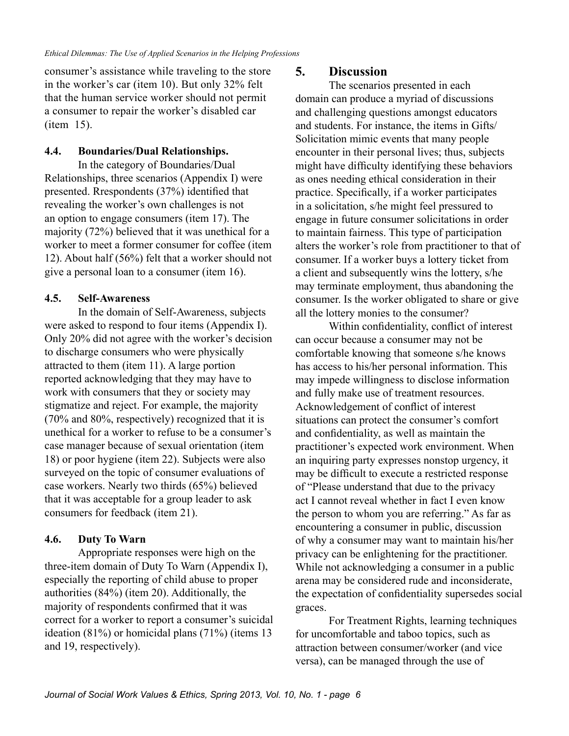consumer's assistance while traveling to the store in the worker's car (item 10). But only 32% felt that the human service worker should not permit a consumer to repair the worker's disabled car (item 15).

#### **4.4. Boundaries/Dual Relationships.**

In the category of Boundaries/Dual Relationships, three scenarios (Appendix I) were presented. Rrespondents (37%) identified that revealing the worker's own challenges is not an option to engage consumers (item 17). The majority (72%) believed that it was unethical for a worker to meet a former consumer for coffee (item 12). About half (56%) felt that a worker should not give a personal loan to a consumer (item 16).

## **4.5. Self-Awareness**

In the domain of Self-Awareness, subjects were asked to respond to four items (Appendix I). Only 20% did not agree with the worker's decision to discharge consumers who were physically attracted to them (item 11). A large portion reported acknowledging that they may have to work with consumers that they or society may stigmatize and reject. For example, the majority (70% and 80%, respectively) recognized that it is unethical for a worker to refuse to be a consumer's case manager because of sexual orientation (item 18) or poor hygiene (item 22). Subjects were also surveyed on the topic of consumer evaluations of case workers. Nearly two thirds (65%) believed that it was acceptable for a group leader to ask consumers for feedback (item 21).

#### **4.6. Duty To Warn**

Appropriate responses were high on the three-item domain of Duty To Warn (Appendix I), especially the reporting of child abuse to proper authorities (84%) (item 20). Additionally, the majority of respondents confirmed that it was correct for a worker to report a consumer's suicidal ideation (81%) or homicidal plans (71%) (items 13 and 19, respectively).

#### **5. Discussion**

The scenarios presented in each domain can produce a myriad of discussions and challenging questions amongst educators and students. For instance, the items in Gifts/ Solicitation mimic events that many people encounter in their personal lives; thus, subjects might have difficulty identifying these behaviors as ones needing ethical consideration in their practice. Specifically, if a worker participates in a solicitation, s/he might feel pressured to engage in future consumer solicitations in order to maintain fairness. This type of participation alters the worker's role from practitioner to that of consumer. If a worker buys a lottery ticket from a client and subsequently wins the lottery, s/he may terminate employment, thus abandoning the consumer. Is the worker obligated to share or give all the lottery monies to the consumer?

Within confidentiality, conflict of interest can occur because a consumer may not be comfortable knowing that someone s/he knows has access to his/her personal information. This may impede willingness to disclose information and fully make use of treatment resources. Acknowledgement of conflict of interest situations can protect the consumer's comfort and confidentiality, as well as maintain the practitioner's expected work environment. When an inquiring party expresses nonstop urgency, it may be difficult to execute a restricted response of "Please understand that due to the privacy act I cannot reveal whether in fact I even know the person to whom you are referring." As far as encountering a consumer in public, discussion of why a consumer may want to maintain his/her privacy can be enlightening for the practitioner. While not acknowledging a consumer in a public arena may be considered rude and inconsiderate, the expectation of confidentiality supersedes social graces.

For Treatment Rights, learning techniques for uncomfortable and taboo topics, such as attraction between consumer/worker (and vice versa), can be managed through the use of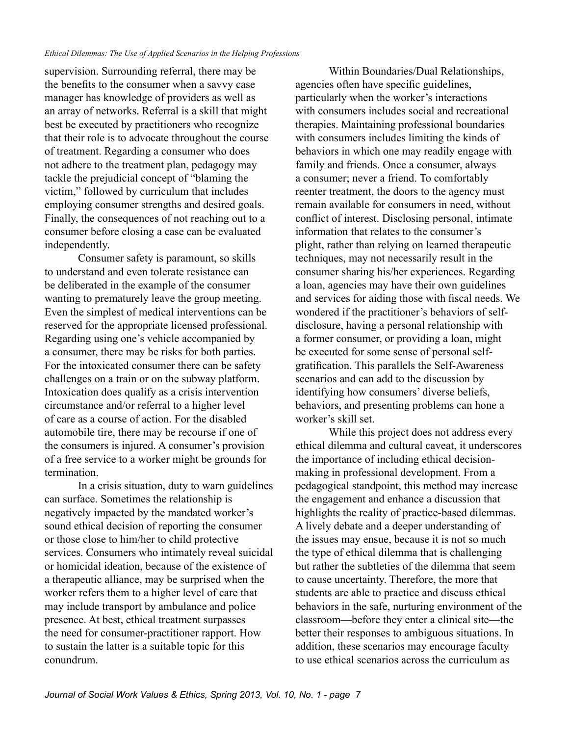supervision. Surrounding referral, there may be the benefits to the consumer when a savvy case manager has knowledge of providers as well as an array of networks. Referral is a skill that might best be executed by practitioners who recognize that their role is to advocate throughout the course of treatment. Regarding a consumer who does not adhere to the treatment plan, pedagogy may tackle the prejudicial concept of "blaming the victim," followed by curriculum that includes employing consumer strengths and desired goals. Finally, the consequences of not reaching out to a consumer before closing a case can be evaluated independently.

Consumer safety is paramount, so skills to understand and even tolerate resistance can be deliberated in the example of the consumer wanting to prematurely leave the group meeting. Even the simplest of medical interventions can be reserved for the appropriate licensed professional. Regarding using one's vehicle accompanied by a consumer, there may be risks for both parties. For the intoxicated consumer there can be safety challenges on a train or on the subway platform. Intoxication does qualify as a crisis intervention circumstance and/or referral to a higher level of care as a course of action. For the disabled automobile tire, there may be recourse if one of the consumers is injured. A consumer's provision of a free service to a worker might be grounds for termination.

In a crisis situation, duty to warn guidelines can surface. Sometimes the relationship is negatively impacted by the mandated worker's sound ethical decision of reporting the consumer or those close to him/her to child protective services. Consumers who intimately reveal suicidal or homicidal ideation, because of the existence of a therapeutic alliance, may be surprised when the worker refers them to a higher level of care that may include transport by ambulance and police presence. At best, ethical treatment surpasses the need for consumer-practitioner rapport. How to sustain the latter is a suitable topic for this conundrum.

Within Boundaries/Dual Relationships, agencies often have specific guidelines, particularly when the worker's interactions with consumers includes social and recreational therapies. Maintaining professional boundaries with consumers includes limiting the kinds of behaviors in which one may readily engage with family and friends. Once a consumer, always a consumer; never a friend. To comfortably reenter treatment, the doors to the agency must remain available for consumers in need, without conflict of interest. Disclosing personal, intimate information that relates to the consumer's plight, rather than relying on learned therapeutic techniques, may not necessarily result in the consumer sharing his/her experiences. Regarding a loan, agencies may have their own guidelines and services for aiding those with fiscal needs. We wondered if the practitioner's behaviors of selfdisclosure, having a personal relationship with a former consumer, or providing a loan, might be executed for some sense of personal selfgratification. This parallels the Self-Awareness scenarios and can add to the discussion by identifying how consumers' diverse beliefs, behaviors, and presenting problems can hone a worker's skill set.

While this project does not address every ethical dilemma and cultural caveat, it underscores the importance of including ethical decisionmaking in professional development. From a pedagogical standpoint, this method may increase the engagement and enhance a discussion that highlights the reality of practice-based dilemmas. A lively debate and a deeper understanding of the issues may ensue, because it is not so much the type of ethical dilemma that is challenging but rather the subtleties of the dilemma that seem to cause uncertainty. Therefore, the more that students are able to practice and discuss ethical behaviors in the safe, nurturing environment of the classroom—before they enter a clinical site—the better their responses to ambiguous situations. In addition, these scenarios may encourage faculty to use ethical scenarios across the curriculum as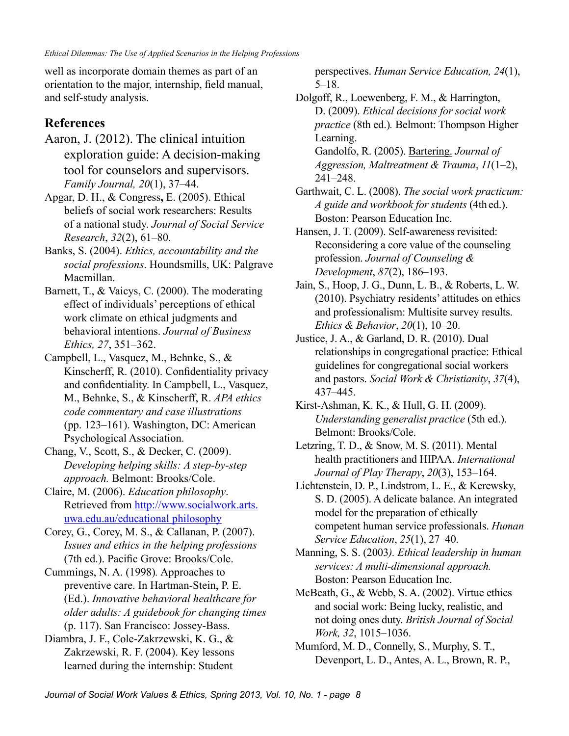well as incorporate domain themes as part of an orientation to the major, internship, field manual, and self-study analysis.

# **References**

- Aaron, J. (2012). The clinical intuition exploration guide: A decision-making tool for counselors and supervisors. *Family Journal, 20*(1), 37–44.
- Apgar, D. H., & Congress**,** E. (2005). Ethical beliefs of social work researchers: Results of a national study. *Journal of Social Service Research*, *32*(2), 61–80.
- Banks, S. (2004). *Ethics, accountability and the social professions*. Houndsmills, UK: Palgrave Macmillan.
- Barnett, T., & Vaicys, C. (2000). The moderating effect of individuals' perceptions of ethical work climate on ethical judgments and behavioral intentions. *Journal of Business Ethics, 27*, 351–362.
- Campbell, L., Vasquez, M., Behnke, S., & Kinscherff, R. (2010). Confidentiality privacy and confidentiality. In Campbell, L., Vasquez, M., Behnke, S., & Kinscherff, R. *APA ethics code commentary and case illustrations*  (pp. 123–161). Washington, DC: American Psychological Association.
- Chang, V., Scott, S., & Decker, C. (2009). *Developing helping skills: A step-by-step approach.* Belmont: Brooks/Cole.
- Claire, M. (2006). *Education philosophy*. Retrieved from [http://www.socialwork.arts.](http://www.socialwork.arts.uwa.edu.au/educational_philosophy) [uwa.edu.au/educational philosophy](http://www.socialwork.arts.uwa.edu.au/educational_philosophy)
- Corey, G., Corey, M. S., & Callanan, P. (2007). *Issues and ethics in the helping professions*  (7th ed.). Pacific Grove: Brooks/Cole.
- Cummings, N. A. (1998)*.* [Approaches to](http://ehis.ebscohost.com.citytech.ezproxy.cuny.edu:2048/ehost/viewarticle?data=dGJyMPPp44rp2%2fdV0%2bnjisfk5Ie46bFKsK%2bySK6k63nn5Kx95uXxjL6orUq3pbBIr6ieSbCwr024p7M4zsOkjPDX7Ivf2fKB7eTnfLujtEmwp7BOtK20PurX7H%2b72%2bw%2b4ti7iPHv5j7y1%2bVVv8Skeeyzr1G3ratLtK2uT6umrkmk3O2K69fyVeTr6oTy2%2faM&hid=23)  [preventive care.](http://ehis.ebscohost.com.citytech.ezproxy.cuny.edu:2048/ehost/viewarticle?data=dGJyMPPp44rp2%2fdV0%2bnjisfk5Ie46bFKsK%2bySK6k63nn5Kx95uXxjL6orUq3pbBIr6ieSbCwr024p7M4zsOkjPDX7Ivf2fKB7eTnfLujtEmwp7BOtK20PurX7H%2b72%2bw%2b4ti7iPHv5j7y1%2bVVv8Skeeyzr1G3ratLtK2uT6umrkmk3O2K69fyVeTr6oTy2%2faM&hid=23) In Hartman-Stein, P. E. (Ed.). *Innovative behavioral healthcare for older adults: A guidebook for changing times* (p. 117). San Francisco: Jossey-Bass.
- Diambra, J. F., Cole-Zakrzewski, K. G., & Zakrzewski, R. F. (2004). Key lessons learned during the internship: Student

perspectives. *Human Service Education, 24*(1), 5–18.

Dolgoff, R., Loewenberg, F. M., & Harrington, D. (2009). *Ethical decisions for social work practice* (8th ed.)*.* Belmont: Thompson Higher Learning. Gandolfo, R. (2005). [Bartering.](http://ehis.ebscohost.com.citytech.ezproxy.cuny.edu:2048/ehost/viewarticle?data=dGJyMPPp44rp2%2fdV0%2bnjisfk5Ie46bFKsK%2bySK6k63nn5Kx95uXxjL6orUq3pbBIr6ieSbCwr024p7M4zsOkjPDX7Ivf2fKB7eTnfLujtEmwp7BOtK20PurX7H%2b72%2bw%2b4ti7iPHv5j7y1%2bVVv8SkeeyzsEiuq6tItqmwT6umr06k3O2K69fyVeTr6oTy2%2faM&hid=23) *Journal of Aggression, Maltreatment & Trauma*, *11*(1–2),

241–248.

- Garthwait, C. L. (2008). *The social work practicum: A guide and workbook for students* (4th ed.). Boston: Pearson Education Inc.
- Hansen, J. T. (2009). Self-awareness revisited: Reconsidering a core value of the counseling profession. *Journal of Counseling & Development*, *87*(2), 186–193.
- Jain, S., Hoop, J. G., Dunn, L. B., & Roberts, L. W. (2010). Psychiatry residents' attitudes on ethics and professionalism: Multisite survey results. *Ethics & Behavior*, *20*(1), 10–20.
- Justice, J. A., & Garland, D. R. (2010). Dual relationships in congregational practice: Ethical guidelines for congregational social workers and pastors. *Social Work & Christianity*, *37*(4), 437–445.
- Kirst-Ashman, K. K., & Hull, G. H. (2009). *Understanding generalist practice* (5th ed.). Belmont: Brooks/Cole.
- Letzring, T. D., & Snow, M. S. (2011). [Mental](http://ehis.ebscohost.com.citytech.ezproxy.cuny.edu:2048/ehost/viewarticle?data=dGJyMPPp44rp2%2fdV0%2bnjisfk5Ie46bFKsK%2bySK6k63nn5Kx95uXxjL6orUq3pbBIr6ieSbior1Kxpp5oy5zyit%2fk8Xnh6ueH7N%2fiVausr0qvqLROtaykhN%2fk5VXj5KR84LPufOac8nnls79mpNfsVe7i30WwpqtLq6ezS6Tc7Yrr1%2fJV5OvqhPLb9owA&hid=23)  [health practitioners and HIPAA.](http://ehis.ebscohost.com.citytech.ezproxy.cuny.edu:2048/ehost/viewarticle?data=dGJyMPPp44rp2%2fdV0%2bnjisfk5Ie46bFKsK%2bySK6k63nn5Kx95uXxjL6orUq3pbBIr6ieSbior1Kxpp5oy5zyit%2fk8Xnh6ueH7N%2fiVausr0qvqLROtaykhN%2fk5VXj5KR84LPufOac8nnls79mpNfsVe7i30WwpqtLq6ezS6Tc7Yrr1%2fJV5OvqhPLb9owA&hid=23) *International Journal of Play Therapy*, *20*(3), 153–164.
- Lichtenstein, D. P., Lindstrom, L. E., & Kerewsky, S. D. (2005). A delicate balance. An integrated model for the preparation of ethically competent human service professionals. *Human Service Education*, *25*(1), 27–40.
- Manning, S. S. (2003*). Ethical leadership in human services: A multi-dimensional approach.*  Boston: Pearson Education Inc.
- McBeath, G., & Webb, S. A. (2002). Virtue ethics and social work: Being lucky, realistic, and not doing ones duty. *British Journal of Social Work, 32*, 1015–1036.
- Mumford, M. D., Connelly, S., Murphy, S. T., Devenport, L. D., Antes, A. L., Brown, R. P.,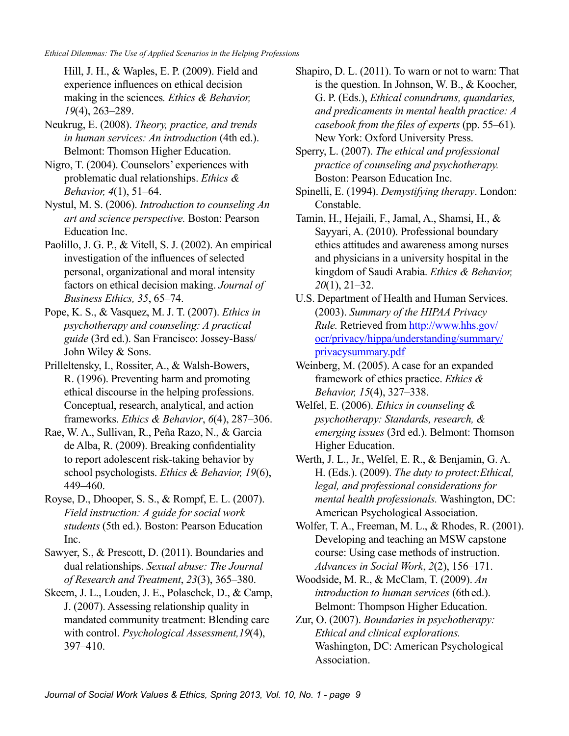Hill, J. H., & Waples, E. P. (2009). Field and experience influences on ethical decision making in the sciences*. Ethics & Behavior, 19*(4), 263–289.

Neukrug, E. (2008). *Theory, practice, and trends in human services: An introduction* (4th ed.). Belmont: Thomson Higher Education.

Nigro, T. (2004). Counselors' experiences with problematic dual relationships. *Ethics & Behavior, 4*(1), 51–64.

Nystul, M. S. (2006). *Introduction to counseling An art and science perspective.* Boston: Pearson Education Inc.

Paolillo, J. G. P., & Vitell, S. J. (2002). An empirical investigation of the influences of selected personal, organizational and moral intensity factors on ethical decision making. *Journal of Business Ethics, 35*, 65–74.

Pope, K. S., & Vasquez, M. J. T. (2007). *Ethics in psychotherapy and counseling: A practical guide* (3rd ed.). San Francisco: Jossey-Bass/ John Wiley & Sons.

Prilleltensky, I., Rossiter, A., & Walsh-Bowers, R. (1996). Preventing harm and promoting ethical discourse in the helping professions. Conceptual, research, analytical, and action frameworks. *Ethics & Behavior*, *6*(4), 287–306.

Rae, W. A., Sullivan, R., Peña Razo, N., & Garcia de Alba, R. (2009). Breaking confidentiality to report adolescent risk-taking behavior by school psychologists. *Ethics & Behavior, 19*(6), 449–460.

Royse, D., Dhooper, S. S., & Rompf, E. L. (2007). *Field instruction: A guide for social work students* (5th ed.). Boston: Pearson Education Inc.

Sawyer, S., & Prescott, D. (2011). Boundaries and dual relationships. *Sexual abuse: The Journal of Research and Treatment*, *23*(3), 365–380.

Skeem, J. L., Louden, J. E., Polaschek, D., & Camp, J. (2007). Assessing relationship quality in mandated community treatment: Blending care with control. *Psychological Assessment,19*(4), 397–410.

Shapiro, D. L. (2011). [To warn or not to warn: That](http://ehis.ebscohost.com.citytech.ezproxy.cuny.edu:2048/ehost/viewarticle?data=dGJyMPPp44rp2%2fdV0%2bnjisfk5Ie46bFKsK%2bySK6k63nn5Kx95uXxjL6orUq3pbBIr6ieSbCwr024p7M4zsOkjPDX7Ivf2fKB7eTnfLunsE6vp7FKtqekhN%2fk5VXj5KR84LPui%2ffepIzf3btZzJzfhruorkmvo69Ir6uxRa6mtT7k5fCF3%2bq7fvPi6ozj7vIA&hid=23)  [is the question.](http://ehis.ebscohost.com.citytech.ezproxy.cuny.edu:2048/ehost/viewarticle?data=dGJyMPPp44rp2%2fdV0%2bnjisfk5Ie46bFKsK%2bySK6k63nn5Kx95uXxjL6orUq3pbBIr6ieSbCwr024p7M4zsOkjPDX7Ivf2fKB7eTnfLunsE6vp7FKtqekhN%2fk5VXj5KR84LPui%2ffepIzf3btZzJzfhruorkmvo69Ir6uxRa6mtT7k5fCF3%2bq7fvPi6ozj7vIA&hid=23) In Johnson, W. B., & Koocher, G. P. (Eds.), *Ethical conundrums, quandaries, and predicaments in mental health practice: A casebook from the files of experts* (pp. 55–61)*.*  New York: Oxford University Press.

Sperry, L. (2007). *The ethical and professional practice of counseling and psychotherapy.*  Boston: Pearson Education Inc.

Spinelli, E. (1994). *Demystifying therapy*. London: Constable.

Tamin, H., Hejaili, F., Jamal, A., Shamsi, H., & Sayyari, A. (2010). Professional boundary ethics attitudes and awareness among nurses and physicians in a university hospital in the kingdom of Saudi Arabia. *Ethics & Behavior, 20*(1), 21–32.

U.S. Department of Health and Human Services. (2003). *Summary of the HIPAA Privacy Rule.* Retrieved from [http://www.hhs.gov/](http://www.hhs.gov/ocr/privacy/hippa/understanding/summary/privacysummary.pdf) [ocr/privacy/hippa/understanding/summary/](http://www.hhs.gov/ocr/privacy/hippa/understanding/summary/privacysummary.pdf) [privacysummary.pdf](http://www.hhs.gov/ocr/privacy/hippa/understanding/summary/privacysummary.pdf)

Weinberg, M. (2005). A case for an expanded framework of ethics practice. *Ethics & Behavior, 15*(4), 327–338.

Welfel, E. (2006). *Ethics in counseling & psychotherapy: Standards, research, & emerging issues* (3rd ed.). Belmont: Thomson Higher Education.

Werth, J. L., Jr., Welfel, E. R., & Benjamin, G. A. H. (Eds.). (2009). *The duty to protect:Ethical, legal, and professional considerations for mental health professionals.* Washington, DC: American Psychological Association.

Wolfer, T. A., Freeman, M. L., & Rhodes, R. (2001). Developing and teaching an MSW capstone course: Using case methods of instruction. *Advances in Social Work*, *2*(2), 156–171.

Woodside, M. R., & McClam, T. (2009). *An introduction to human services* (6th ed.). Belmont: Thompson Higher Education.

Zur, O. (2007). *[Boundaries in psychotherapy:](http://ehis.ebscohost.com.citytech.ezproxy.cuny.edu:2048/ehost/viewarticle?data=dGJyMPPp44rp2%2fdV0%2bnjisfk5Ie46bFKsK%2bySK6k63nn5Kx95uXxjL6orUq3pbBIr6ieSbCwr024p7M4zsOkjPDX7Ivf2fKB7eTnfLujtEmwp7BOtK20PurX7H%2b72%2bw%2b4ti7iPHv5j7y1%2bVVv8SkeeyzsEiuratIrqaxSKumrkik3O2K69fyVeTr6oTy2%2faM&hid=23)  [Ethical and clinical explorations.](http://ehis.ebscohost.com.citytech.ezproxy.cuny.edu:2048/ehost/viewarticle?data=dGJyMPPp44rp2%2fdV0%2bnjisfk5Ie46bFKsK%2bySK6k63nn5Kx95uXxjL6orUq3pbBIr6ieSbCwr024p7M4zsOkjPDX7Ivf2fKB7eTnfLujtEmwp7BOtK20PurX7H%2b72%2bw%2b4ti7iPHv5j7y1%2bVVv8SkeeyzsEiuratIrqaxSKumrkik3O2K69fyVeTr6oTy2%2faM&hid=23)* Washington, DC: American Psychological Association.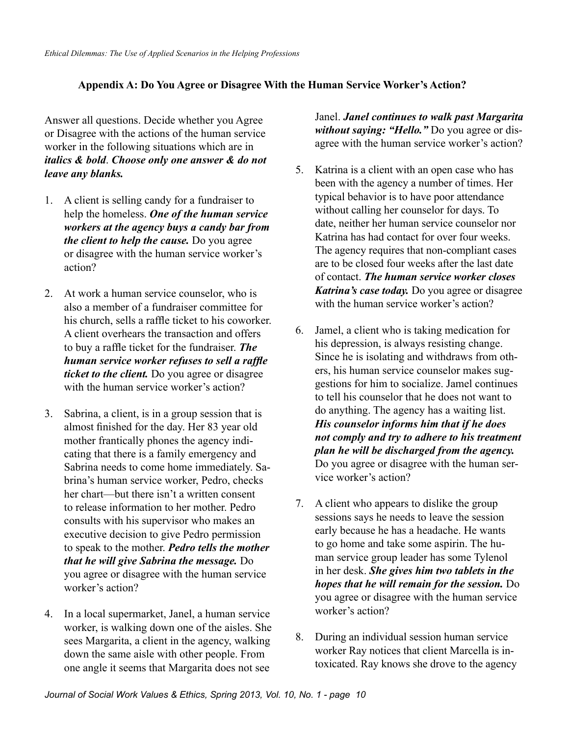# **Appendix A: Do You Agree or Disagree With the Human Service Worker's Action?**

Answer all questions. Decide whether you Agree or Disagree with the actions of the human service worker in the following situations which are in *italics & bold*. *Choose only one answer & do not leave any blanks.*

- 1. A client is selling candy for a fundraiser to help the homeless. *One of the human service workers at the agency buys a candy bar from the client to help the cause.* Do you agree or disagree with the human service worker's action?
- 2. At work a human service counselor, who is also a member of a fundraiser committee for his church, sells a raffle ticket to his coworker. A client overhears the transaction and offers to buy a raffle ticket for the fundraiser. *The human service worker refuses to sell a raffle ticket to the client.* Do you agree or disagree with the human service worker's action?
- 3. Sabrina, a client, is in a group session that is almost finished for the day. Her 83 year old mother frantically phones the agency indicating that there is a family emergency and Sabrina needs to come home immediately. Sabrina's human service worker, Pedro, checks her chart—but there isn't a written consent to release information to her mother. Pedro consults with his supervisor who makes an executive decision to give Pedro permission to speak to the mother. *Pedro tells the mother that he will give Sabrina the message.* Do you agree or disagree with the human service worker's action?
- 4. In a local supermarket, Janel, a human service worker, is walking down one of the aisles. She sees Margarita, a client in the agency, walking down the same aisle with other people. From one angle it seems that Margarita does not see

Janel. *Janel continues to walk past Margarita without saying: "Hello."* Do you agree or disagree with the human service worker's action?

- 5. Katrina is a client with an open case who has been with the agency a number of times. Her typical behavior is to have poor attendance without calling her counselor for days. To date, neither her human service counselor nor Katrina has had contact for over four weeks. The agency requires that non-compliant cases are to be closed four weeks after the last date of contact. *The human service worker closes Katrina's case today.* Do you agree or disagree with the human service worker's action?
- 6. Jamel, a client who is taking medication for his depression, is always resisting change. Since he is isolating and withdraws from others, his human service counselor makes suggestions for him to socialize. Jamel continues to tell his counselor that he does not want to do anything. The agency has a waiting list. *His counselor informs him that if he does not comply and try to adhere to his treatment plan he will be discharged from the agency.* Do you agree or disagree with the human service worker's action?
- 7. A client who appears to dislike the group sessions says he needs to leave the session early because he has a headache. He wants to go home and take some aspirin. The human service group leader has some Tylenol in her desk. *She gives him two tablets in the hopes that he will remain for the session.* Do you agree or disagree with the human service worker's action?
- 8. During an individual session human service worker Ray notices that client Marcella is intoxicated. Ray knows she drove to the agency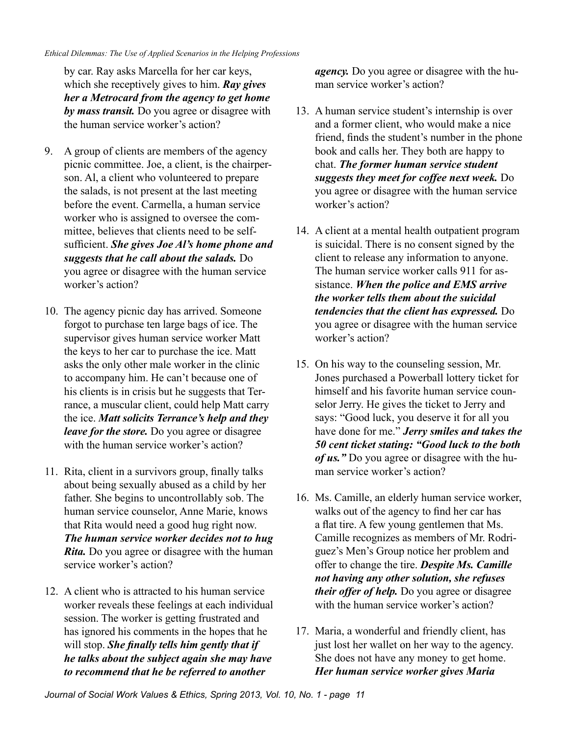by car. Ray asks Marcella for her car keys, which she receptively gives to him. *Ray gives her a Metrocard from the agency to get home by mass transit.* Do you agree or disagree with the human service worker's action?

- 9. A group of clients are members of the agency picnic committee. Joe, a client, is the chairperson. Al, a client who volunteered to prepare the salads, is not present at the last meeting before the event. Carmella, a human service worker who is assigned to oversee the committee, believes that clients need to be selfsufficient. *She gives Joe Al's home phone and suggests that he call about the salads.* Do you agree or disagree with the human service worker's action?
- 10. The agency picnic day has arrived. Someone forgot to purchase ten large bags of ice. The supervisor gives human service worker Matt the keys to her car to purchase the ice. Matt asks the only other male worker in the clinic to accompany him. He can't because one of his clients is in crisis but he suggests that Terrance, a muscular client, could help Matt carry the ice. *Matt solicits Terrance's help and they leave for the store.* Do you agree or disagree with the human service worker's action?
- 11. Rita, client in a survivors group, finally talks about being sexually abused as a child by her father. She begins to uncontrollably sob. The human service counselor, Anne Marie, knows that Rita would need a good hug right now. *The human service worker decides not to hug Rita.* Do you agree or disagree with the human service worker's action?
- 12. A client who is attracted to his human service worker reveals these feelings at each individual session. The worker is getting frustrated and has ignored his comments in the hopes that he will stop. *She finally tells him gently that if he talks about the subject again she may have to recommend that he be referred to another*

*agency.* Do you agree or disagree with the human service worker's action?

- 13. A human service student's internship is over and a former client, who would make a nice friend, finds the student's number in the phone book and calls her. They both are happy to chat. *The former human service student suggests they meet for coffee next week.* Do you agree or disagree with the human service worker's action?
- 14. A client at a mental health outpatient program is suicidal. There is no consent signed by the client to release any information to anyone. The human service worker calls 911 for assistance. *When the police and EMS arrive the worker tells them about the suicidal tendencies that the client has expressed.* Do you agree or disagree with the human service worker's action?
- 15. On his way to the counseling session, Mr. Jones purchased a Powerball lottery ticket for himself and his favorite human service counselor Jerry. He gives the ticket to Jerry and says: "Good luck, you deserve it for all you have done for me." *Jerry smiles and takes the 50 cent ticket stating: "Good luck to the both of us."* Do you agree or disagree with the human service worker's action?
- 16. Ms. Camille, an elderly human service worker, walks out of the agency to find her car has a flat tire. A few young gentlemen that Ms. Camille recognizes as members of Mr. Rodriguez's Men's Group notice her problem and offer to change the tire. *Despite Ms. Camille not having any other solution, she refuses their offer of help.* Do you agree or disagree with the human service worker's action?
- 17. Maria, a wonderful and friendly client, has just lost her wallet on her way to the agency. She does not have any money to get home. *Her human service worker gives Maria*

*Journal of Social Work Values & Ethics, Spring 2013, Vol. 10, No. 1 - page 11*